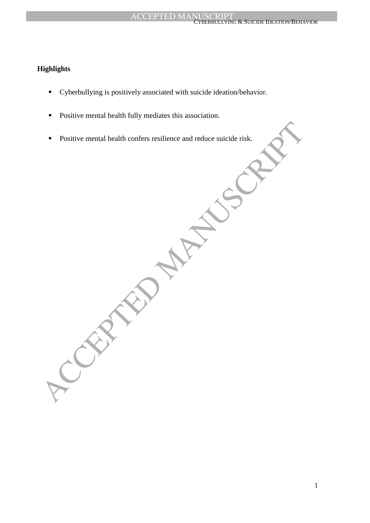#### **ACCEPTED MA** RBULLYING & SUICIDE IDEATION/BEHAVIOR

# **Highlights**

- Cyberbullying is positively associated with suicide ideation/behavior.
- **Positive mental health fully mediates this association.**
- Positive mental health confers resilience and reduce suicide risk.

Positive mental health confers resilience and reduce suicide risk.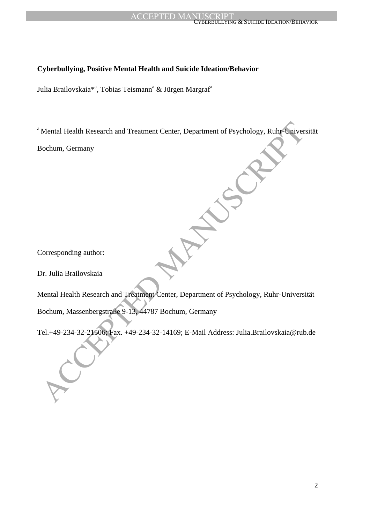# **Cyberbullying, Positive Mental Health and Suicide Ideation/Behavior**

Julia Brailovskaia<sup>\*a</sup>, Tobias Teismann<sup>a</sup> & Jürgen Margraf<sup>a</sup>

<sup>a</sup> Mental Health Research and Treatment Center, Department of Psychology, Ruhr-Universität

Bochum, Germany

Corresponding author:

Dr. Julia Brailovskaia

Mental Health Research and Treatment Center, Department of Psychology, Ruhr Daiver<br>Bochum, Germany<br>Dentenant Schwarz<br>Corresponding author:<br>Accepted Manuscripts<br>Actual Health Research and Treatment Center, Department of Psy Mental Health Research and Treatment Center, Department of Psychology, Ruhr-Universität Bochum, Massenbergstraße 9-13, 44787 Bochum, Germany

Tel.+49-234-32-21506; Fax. +49-234-32-14169; E-Mail Address: Julia.Brailovskaia@rub.de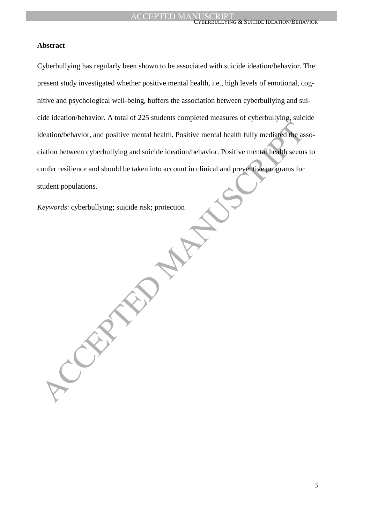#### CYBERBULLYING & SUICIDE IDEATION/BEHAVIOR

## **Abstract**

deation/behavior, and positive mental health. Positive mental health fully mediated the assistion between cyberbullying and suicide ideation/behavior. Positive mental health seems<br>into between cyberbullying and suicide ide Cyberbullying has regularly been shown to be associated with suicide ideation/behavior. The present study investigated whether positive mental health, i.e., high levels of emotional, cognitive and psychological well-being, buffers the association between cyberbullying and suicide ideation/behavior. A total of 225 students completed measures of cyberbullying, suicide ideation/behavior, and positive mental health. Positive mental health fully mediated the association between cyberbullying and suicide ideation/behavior. Positive mental health seems to confer resilience and should be taken into account in clinical and preventive programs for student populations.

*Keywords*: cyberbullying; suicide risk; protection

3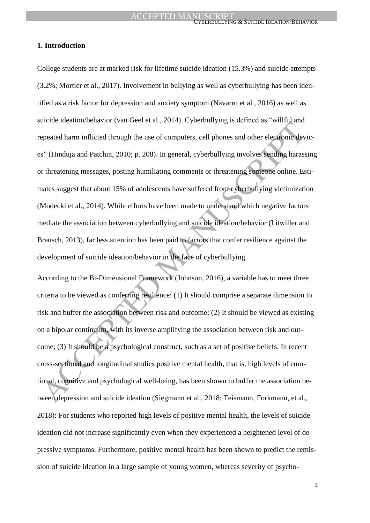#### CYBERBULLYING & SUICIDE IDEATION/BEHAVIOR

## **1. Introduction**

and the method of the state of computers, coll phones and other electronic developeration in milited through the use of computers, cell phones and other electronic developeration and Patchin, 2010; p. 208). In general, cyb College students are at marked risk for lifetime suicide ideation (15.3%) and suicide attempts (3.2%; Mortier et al., 2017). Involvement in bullying as well as cyberbullying has been identified as a risk factor for depression and anxiety symptom (Navarro et al., 2016) as well as suicide ideation/behavior (van Geel et al., 2014). Cyberbullying is defined as "willful and repeated harm inflicted through the use of computers, cell phones and other electronic devices" (Hinduja and Patchin, 2010; p. 208). In general, cyberbullying involves sending harassing or threatening messages, posting humiliating comments or threatening someone online. Estimates suggest that about 15% of adolescents have suffered from cyberbullying victimization (Modecki et al., 2014). While efforts have been made to understand which negative factors mediate the association between cyberbullying and suicide ideation/behavior (Litwiller and Brausch, 2013), far less attention has been paid to factors that confer resilience against the development of suicide ideation/behavior in the face of cyberbullying.

According to the Bi-Dimensional Framework (Johnson, 2016), a variable has to meet three criteria to be viewed as conferring resilience: (1) It should comprise a separate dimension to risk and buffer the association between risk and outcome; (2) It should be viewed as existing on a bipolar continuum, with its inverse amplifying the association between risk and outcome; (3) It should be a psychological construct, such as a set of positive beliefs. In recent cross-sectional and longitudinal studies positive mental health, that is, high levels of emotional, cognitive and psychological well-being, has been shown to buffer the association between depression and suicide ideation (Siegmann et al., 2018; Teismann, Forkmann, et al., 2018): For students who reported high levels of positive mental health, the levels of suicide ideation did not increase significantly even when they experienced a heightened level of depressive symptoms. Furthermore, positive mental health has been shown to predict the remission of suicide ideation in a large sample of young women, whereas severity of psycho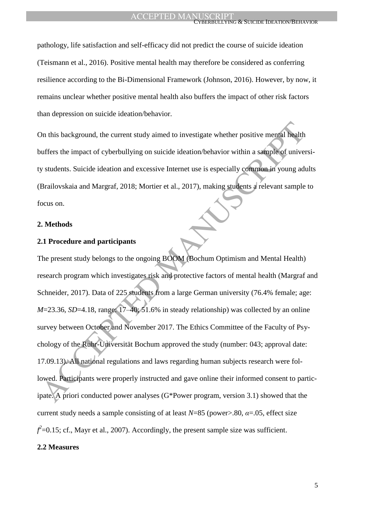pathology, life satisfaction and self-efficacy did not predict the course of suicide ideation (Teismann et al., 2016). Positive mental health may therefore be considered as conferring resilience according to the Bi-Dimensional Framework (Johnson, 2016). However, by now, it remains unclear whether positive mental health also buffers the impact of other risk factors than depression on suicide ideation/behavior.

On this background, the current study aimed to investigate whether positive mental health buffers the impact of cyberbullying on suicide ideation/behavior within a sample of university students. Suicide ideation and excessive Internet use is especially common in young adults (Brailovskaia and Margraf, 2018; Mortier et al., 2017), making students a relevant sample to focus on.

#### **2. Methods**

## **2.1 Procedure and participants**

On this background, the current study aimed to investigate whether positive mental health<br>suffers the impact of cyberbullying on suicide ideation/behavior within a sample of universities. Suicide ideation and excessive Int The present study belongs to the ongoing BOOM (Bochum Optimism and Mental Health) research program which investigates risk and protective factors of mental health (Margraf and Schneider, 2017). Data of 225 students from a large German university (76.4% female; age: *M*=23.36, *SD*=4.18, range: 17–40; 51.6% in steady relationship) was collected by an online survey between October and November 2017. The Ethics Committee of the Faculty of Psychology of the Ruhr-Universität Bochum approved the study (number: 043; approval date: 17.09.13). All national regulations and laws regarding human subjects research were followed. Participants were properly instructed and gave online their informed consent to participate. A priori conducted power analyses (G\*Power program, version 3.1) showed that the current study needs a sample consisting of at least  $N=85$  (power>.80,  $\alpha = 0.05$ , effect size  $f^2$ =0.15; cf., Mayr et al., 2007). Accordingly, the present sample size was sufficient.

## **2.2 Measures**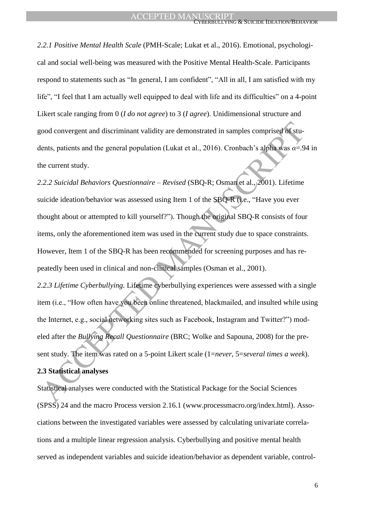*2.2.1 Positive Mental Health Scale* (PMH-Scale; Lukat et al., 2016). Emotional, psychological and social well-being was measured with the Positive Mental Health-Scale. Participants respond to statements such as "In general, I am confident", "All in all, I am satisfied with my life", "I feel that I am actually well equipped to deal with life and its difficulties" on a 4-point Likert scale ranging from 0 (*I do not agree*) to 3 (*I agree*). Unidimensional structure and good convergent and discriminant validity are demonstrated in samples comprised of students, patients and the general population (Lukat et al., 2016). Cronbach's alpha was *α*=.94 in the current study.

front convergent and discriminant validity are demonstrated in samples comprised of stu-<br>tents, patients and the general population (Lukat et al., 2016). Cronbach's alpha was  $\alpha = .9$ <br>the current study.<br>2.2.2 *Suicidal Beh 2.2.2 Suicidal Behaviors Questionnaire – Revised* (SBQ-R; Osman et al., 2001). Lifetime suicide ideation/behavior was assessed using Item 1 of the SBQ-R (i.e., "Have you ever thought about or attempted to kill yourself?"). Though the original SBQ-R consists of four items, only the aforementioned item was used in the current study due to space constraints. However, Item 1 of the SBQ-R has been recommended for screening purposes and has repeatedly been used in clinical and non-clinical samples (Osman et al., 2001).

*2.2.3 Lifetime Cyberbullying.* Lifetime cyberbullying experiences were assessed with a single item (i.e., "How often have you been online threatened, blackmailed, and insulted while using the Internet, e.g., social networking sites such as Facebook, Instagram and Twitter?") modeled after the *Bullying Recall Questionnaire* (BRC; Wolke and Sapouna, 2008) for the present study. The item was rated on a 5-point Likert scale (1=*never*, 5=*several times a week*). **2.3 Statistical analyses**

Statistical analyses were conducted with the Statistical Package for the Social Sciences (SPSS) 24 and the macro Process version 2.16.1 (www.processmacro.org/index.html). Associations between the investigated variables were assessed by calculating univariate correlations and a multiple linear regression analysis. Cyberbullying and positive mental health served as independent variables and suicide ideation/behavior as dependent variable, control-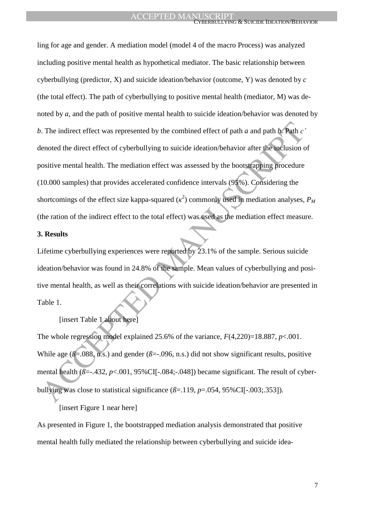b. The indirect effect was represented by the combined effect of path *a* and path *b*. Path *c*<br>
lenoted the direct effect of cyberbullying to suicide ideation/behavior after the inclusion c<br>
onsitive mental health. Th ling for age and gender. A mediation model (model 4 of the macro Process) was analyzed including positive mental health as hypothetical mediator. The basic relationship between cyberbullying (predictor, X) and suicide ideation/behavior (outcome, Y) was denoted by *c*  (the total effect). The path of cyberbullying to positive mental health (mediator, M) was denoted by *a*, and the path of positive mental health to suicide ideation/behavior was denoted by *b*. The indirect effect was represented by the combined effect of path *a* and path *b*. Path *c'* denoted the direct effect of cyberbullying to suicide ideation/behavior after the inclusion of positive mental health. The mediation effect was assessed by the bootstrapping procedure (10.000 samples) that provides accelerated confidence intervals (95%). Considering the shortcomings of the effect size kappa-squared  $(\kappa^2)$  commonly used in mediation analyses,  $P_M$ (the ration of the indirect effect to the total effect) was used as the mediation effect measure.

## **3. Results**

Lifetime cyberbullying experiences were reported by 23.1% of the sample. Serious suicide ideation/behavior was found in 24.8% of the sample. Mean values of cyberbullying and positive mental health, as well as their correlations with suicide ideation/behavior are presented in Table 1.

[insert Table 1 about here]

The whole regression model explained 25.6% of the variance,  $F(4,220)=18.887$ ,  $p<0.001$ . While age ( $\beta$ =.088, n.s.) and gender ( $\beta$ =-.096, n.s.) did not show significant results, positive mental health  $(\bar{\beta} = -432, p < 0.001, 95\%$ CI[ $-.084; -.048$ ] became significant. The result of cyberbullying was close to statistical significance  $(\beta = .119, p = .054, 95\%$ CII-.003;.353]).

[insert Figure 1 near here]

As presented in Figure 1, the bootstrapped mediation analysis demonstrated that positive mental health fully mediated the relationship between cyberbullying and suicide idea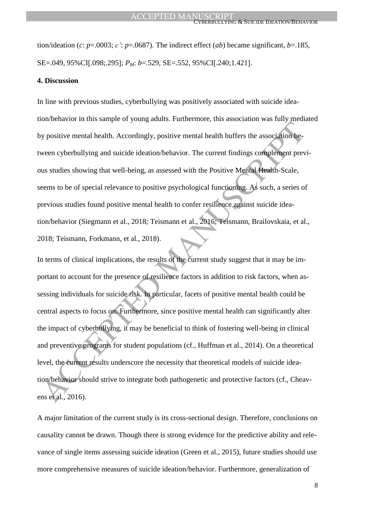tion/ideation (*c*: *p*=.0003; *c'*: *p*=.0687). The indirect effect (*ab*) became significant, *b*=.185, SE=.049, 95%CI[.098;.295]; *P<sub>M</sub>*: *b*=.529, SE=.552, 95%CI[.240;1.421].

## **4. Discussion**

In line with previous studies, cyberbullying was positively associated with suicide ideation/behavior in this sample of young adults. Furthermore, this association was fully mediated by positive mental health. Accordingly, positive mental health buffers the association between cyberbullying and suicide ideation/behavior. The current findings complement previous studies showing that well-being, as assessed with the Positive Mental Health-Scale, seems to be of special relevance to positive psychological functioning. As such, a series of previous studies found positive mental health to confer resilience against suicide ideation/behavior (Siegmann et al., 2018; Teismann et al., 2016; Teismann, Brailovskaia, et al., 2018; Teismann, Forkmann, et al., 2018).

by positive mental health. Accordingly, positive mental health buffers the association be-<br>ween cyberbullying and suicide ideation/behavior. The current findings complement prev<br>ween cyberbullying and suicide ideation/beha In terms of clinical implications, the results of the current study suggest that it may be important to account for the presence of resilience factors in addition to risk factors, when assessing individuals for suicide risk. In particular, facets of positive mental health could be central aspects to focus on. Furthermore, since positive mental health can significantly alter the impact of cyberbullying, it may be beneficial to think of fostering well-being in clinical and preventive programs for student populations (cf., Huffman et al., 2014). On a theoretical level, the current results underscore the necessity that theoretical models of suicide ideation/behavior should strive to integrate both pathogenetic and protective factors (cf., Cheavens et al., 2016).

A major limitation of the current study is its cross-sectional design. Therefore, conclusions on causality cannot be drawn. Though there is strong evidence for the predictive ability and relevance of single items assessing suicide ideation (Green et al., 2015), future studies should use more comprehensive measures of suicide ideation/behavior. Furthermore, generalization of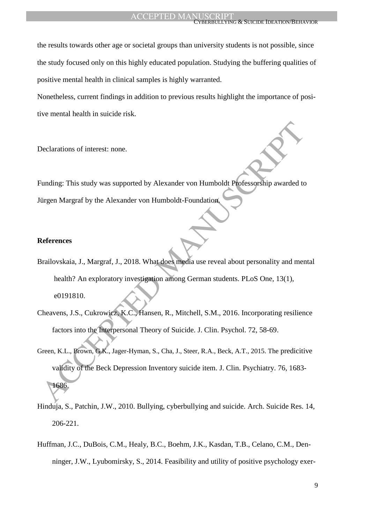the results towards other age or societal groups than university students is not possible, since the study focused only on this highly educated population. Studying the buffering qualities of positive mental health in clinical samples is highly warranted.

Nonetheless, current findings in addition to previous results highlight the importance of positive mental health in suicide risk.

Declarations of interest: none.

Funding: This study was supported by Alexander von Humboldt Professorship awarded to Jürgen Margraf by the Alexander von Humboldt-Foundation.

#### **References**

- Brailovskaia, J., Margraf, J., 2018. What does media use reveal about personality and mental health? An exploratory investigation among German students. PLoS One*,* 13(1), e0191810.
- Cheavens, J.S., Cukrowicz, K.C., Hansen, R., Mitchell, S.M., 2016. Incorporating resilience factors into the Interpersonal Theory of Suicide. J. Clin. Psychol. 72, 58-69.
- Container This study was supported by Alexander von Humboldt Plofessorship awarded to<br>
internal Margraf by the Alexander von Humboldt-Foundation<br>
References<br>
References<br>
Accepted Manuscript (J., 2018, What does media use r Green, K.L., Brown, G.K., Jager-Hyman, S., Cha, J., Steer, R.A., Beck, A.T., 2015. The predicitive validity of the Beck Depression Inventory suicide item. J. Clin. Psychiatry. 76, 1683- 1686.
- Hinduja, S., Patchin, J.W., 2010. Bullying, cyberbullying and suicide. Arch. Suicide Res. 14, 206-221.
- Huffman, J.C., DuBois, C.M., Healy, B.C., Boehm, J.K., Kasdan, T.B., Celano, C.M., Denninger, J.W., Lyubomirsky, S., 2014. Feasibility and utility of positive psychology exer-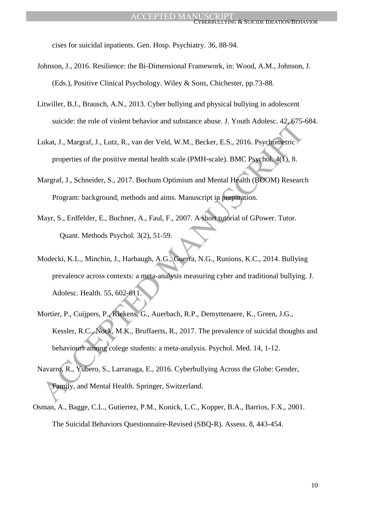cises for suicidal inpatients. Gen. Hosp. Psychiatry. 36, 88-94.

- Johnson, J., 2016. Resilience: the Bi-Dimensional Framework, in: Wood, A.M., Johnson, J. (Eds.), Positive Clinical Psychology. Wiley & Sons, Chichester, pp.73-88.
- Litwiller, B.J., Brausch, A.N., 2013. Cyber bullying and physical bullying in adolescent suicide: the role of violent behavior and substance abuse. J. Youth Adolesc. 42, 675-684.
- Lukat, J., Margraf, J., Lutz, R., van der Veld, W.M., Becker, E.S., 2016. Psychometric properties of the positive mental health scale (PMH-scale). BMC Psychol. 4(1), 8.
- Margraf, J., Schneider, S., 2017. Bochum Optimism and Mental Health (BOOM) Research Program: background, methods and aims. Manuscript in preparation.
- Mayr, S., Erdfelder, E., Buchner, A., Faul, F., 2007. A short tutorial of GPower. Tutor. Quant. Methods Psychol. 3(2), 51-59.
- Suicide: the rive of violent behavior and substance anises. J. Tolin Adobesc. 42, 07.34<br>
2018. Akar, J., Margraf, J., Lutz, R., van der Veld, W.M., Becker, E.S., 2016. Psychon, 4(f), 8.<br>
4 Argraf, J., Schneider, S., 2017. Modecki, K.L., Minchin, J., Harbaugh, A.G., Guerra, N.G., Runions, K.C., 2014. Bullying prevalence across contexts: a meta-analysis measuring cyber and traditional bullying. J. Adolesc. Health. 55, 602-611.
- Mortier, P., Cuijpers, P., Kiekens, G., Auerbach, R.P., Demyttenaere, K., Green, J.G., Kessler, R.C., Nock, M.K., Bruffaerts, R., 2017. The prevalence of suicidal thoughts and behaviours among colege students: a meta-analysis. Psychol. Med. 14, 1-12.
- Navarro, R., Yubero, S., Larranaga, E., 2016. Cyberbullying Across the Globe: Gender, Family, and Mental Health. Springer, Switzerland.
- Osman, A., Bagge, C.L., Gutierrez, P.M., Konick, L.C., Kopper, B.A., Barrios, F.X., 2001. The Suicidal Behaviors Questionnaire-Revised (SBQ-R). Assess. 8, 443-454.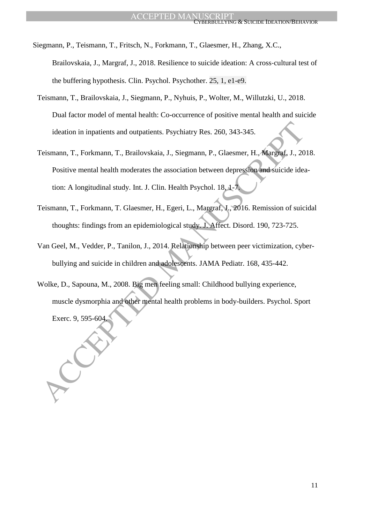- Siegmann, P., Teismann, T., Fritsch, N., Forkmann, T., Glaesmer, H., Zhang, X.C., Brailovskaia, J., Margraf, J., 2018. Resilience to suicide ideation: A cross-cultural test of the buffering hypothesis. Clin. Psychol. Psychother. 25, 1, e1-e9.
- Teismann, T., Brailovskaia, J., Siegmann, P., Nyhuis, P., Wolter, M., Willutzki, U., 2018. Dual factor model of mental health: Co-occurrence of positive mental health and suicide ideation in inpatients and outpatients. Psychiatry Res. 260, 343-345.
- ideation in inpatients and outpatients. Psychiatry Res. 260, 343-345.<br>
Teismann, T., Forkmann, T., Brailovskaia, J., Siegmann, P., Glaesmer, H., Margraf, J., 20<br>
Positive mental health moderates the association between dep Teismann, T., Forkmann, T., Brailovskaia, J., Siegmann, P., Glaesmer, H., Margraf, J., 2018. Positive mental health moderates the association between depression and suicide ideation: A longitudinal study. Int. J. Clin. Health Psychol. 18, 1-7.
- Teismann, T., Forkmann, T. Glaesmer, H., Egeri, L., Margraf, J., 2016. Remission of suicidal thoughts: findings from an epidemiological study. J. Affect. Disord. 190, 723-725.
- Van Geel, M., Vedder, P., Tanilon, J., 2014. Relationship between peer victimization, cyberbullying and suicide in children and adolescents. JAMA Pediatr. 168, 435-442.
- Wolke, D., Sapouna, M., 2008. Big men feeling small: Childhood bullying experience, muscle dysmorphia and other mental health problems in body-builders. Psychol. Sport Exerc. 9, 595-604.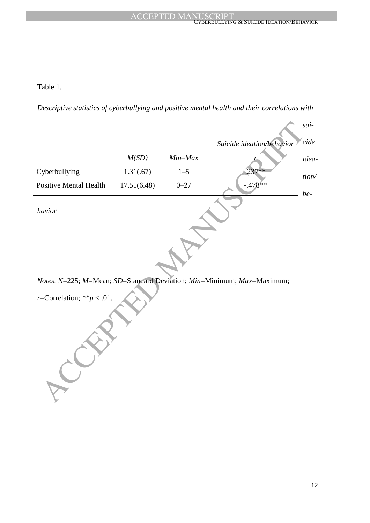## CYBERBULLYING & SUICIDE IDEATION/BEHAVIOR

Table 1.

*Descriptive statistics of cyberbullying and positive mental health and their correlations with* 

|                               |             |          | Suicide ideation/behavior                                              |
|-------------------------------|-------------|----------|------------------------------------------------------------------------|
|                               | M(SD)       | Min-Max  | r                                                                      |
| Cyberbullying                 | 1.31(.67)   | $1 - 5$  | .237**                                                                 |
| <b>Positive Mental Health</b> | 17.51(6.48) | $0 - 27$ | $-.478**$                                                              |
| havior                        |             |          |                                                                        |
|                               |             |          |                                                                        |
|                               |             |          | Notes. N=225; M=Mean; SD=Standard Deviation; Min=Minimum; Max=Maximum; |
| r=Correlation; ** $p < .01$ . |             |          |                                                                        |
|                               |             |          |                                                                        |

*r*=Correlation; \*\* $p < .01$ .